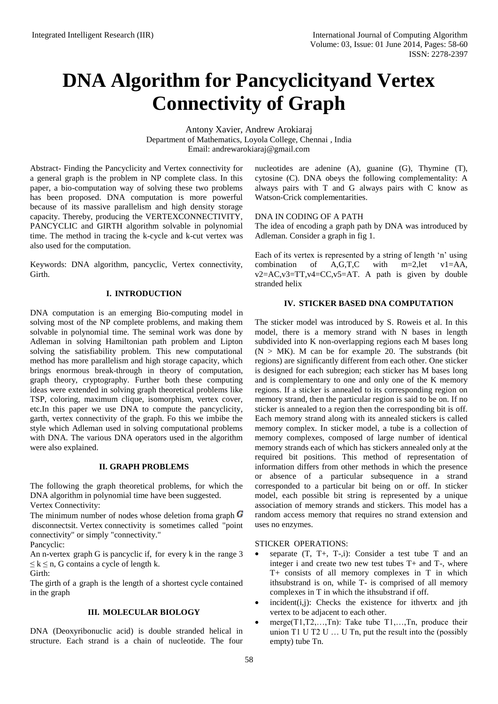# **DNA Algorithm for Pancyclicityand Vertex Connectivity of Graph**

Antony Xavier, Andrew Arokiaraj Department of Mathematics, Loyola College, Chennai , India Email: [andrewarokiaraj@gmail.com](mailto:andrewarokiaraj@gmail.com)

Abstract- Finding the Pancyclicity and Vertex connectivity for a general graph is the problem in NP complete class. In this paper, a bio-computation way of solving these two problems has been proposed. DNA computation is more powerful because of its massive parallelism and high density storage capacity. Thereby, producing the VERTEXCONNECTIVITY, PANCYCLIC and GIRTH algorithm solvable in polynomial time. The method in tracing the k-cycle and k-cut vertex was also used for the computation.

Keywords: DNA algorithm, pancyclic, Vertex connectivity, Girth.

# **I. INTRODUCTION**

DNA computation is an emerging Bio-computing model in solving most of the NP complete problems, and making them solvable in polynomial time. The seminal work was done by Adleman in solving Hamiltonian path problem and Lipton solving the satisfiability problem. This new computational method has more parallelism and high storage capacity, which brings enormous break-through in theory of computation, graph theory, cryptography. Further both these computing ideas were extended in solving graph theoretical problems like TSP, coloring, maximum clique, isomorphism, vertex cover, etc.In this paper we use DNA to compute the pancyclicity, garth, vertex connectivity of the graph. Fo this we imbibe the style which Adleman used in solving computational problems with DNA. The various DNA operators used in the algorithm were also explained.

# **II. GRAPH PROBLEMS**

The following the graph theoretical problems, for which the DNA algorithm in polynomial time have been suggested. Vertex Connectivity:

The minimum number of nodes whose deletion from [graph](http://mathworld.wolfram.com/Graph.html)  $\boldsymbol{G}$ disconnectsit. Vertex connectivity is sometimes called "point connectivity" or simply "connectivity."

Pancyclic:

An n-vertex graph G is pancyclic if, for every k in the range 3  $\leq k \leq n$ , G contains a cycle of length k.

Girth:

The girth of a graph is the length of a shortest [cycle](http://en.wikipedia.org/wiki/Cycle_graph) contained in the graph

#### **III. MOLECULAR BIOLOGY**

DNA (Deoxyribonuclic acid) is double stranded helical in structure. Each strand is a chain of nucleotide. The four nucleotides are adenine (A), guanine (G), Thymine (T), cytosine (C). DNA obeys the following complementality: A always pairs with T and G always pairs with C know as Watson-Crick complementarities.

# DNA IN CODING OF A PATH

The idea of encoding a graph path by DNA was introduced by Adleman. Consider a graph in fig 1.

Each of its vertex is represented by a string of length 'n' using combination of A,G,T,C with m=2,let v1=AA, v2=AC,v3=TT,v4=CC,v5=AT. A path is given by double stranded helix

### **IV. STICKER BASED DNA COMPUTATION**

The sticker model was introduced by S. Roweis et al. In this model, there is a memory strand with N bases in length subdivided into K non-overlapping regions each M bases long  $(N > MK)$ . M can be for example 20. The substrands (bit regions) are significantly different from each other. One sticker is designed for each subregion; each sticker has M bases long and is complementary to one and only one of the K memory regions. If a sticker is annealed to its corresponding region on memory strand, then the particular region is said to be on. If no sticker is annealed to a region then the corresponding bit is off. Each memory strand along with its annealed stickers is called memory complex. In sticker model, a tube is a collection of memory complexes, composed of large number of identical memory strands each of which has stickers annealed only at the required bit positions. This method of representation of information differs from other methods in which the presence or absence of a particular subsequence in a strand corresponded to a particular bit being on or off. In sticker model, each possible bit string is represented by a unique association of memory strands and stickers. This model has a random access memory that requires no strand extension and uses no enzymes.

#### STICKER OPERATIONS:

- separate  $(T, T+, T-, i)$ : Consider a test tube T and an integer i and create two new test tubes T+ and T-, where T+ consists of all memory complexes in T in which ithsubstrand is on, while T- is comprised of all memory complexes in T in which the ithsubstrand if off.
- $\bullet$  incident(i,j): Checks the existence for ithvertx and jth vertex to be adjacent to each other.
- merge(T1,T2,…,Tn): Take tube T1,…,Tn, produce their union T1 U T2 U … U Tn, put the result into the (possibly empty) tube Tn.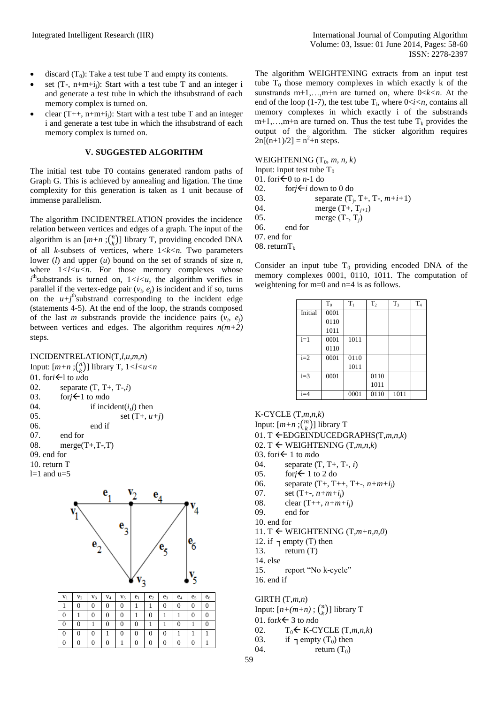- discard  $(T_0)$ : Take a test tube T and empty its contents.
- set  $(T-, n+m+i)$ : Start with a test tube T and an integer i and generate a test tube in which the ithsubstrand of each memory complex is turned on.
- clear  $(T_{++}, n+m+i_i)$ : Start with a test tube T and an integer i and generate a test tube in which the ithsubstrand of each memory complex is turned on.

#### **V. SUGGESTED ALGORITHM**

The initial test tube T0 contains generated random paths of Graph G. This is achieved by annealing and ligation. The time complexity for this generation is taken as 1 unit because of immense parallelism.

The algorithm INCIDENTRELATION provides the incidence relation between vertices and edges of a graph. The input of the algorithm is an  $[m+n]$ ;  $\binom{n}{k}$  $\binom{n}{k}$ ] library T, providing encoded DNA of all *k*-subsets of vertices, where 1<*k<n.* Two parameters lower (*l*) and upper (*u*) bound on the set of strands of size *n,*  where  $1 < l < u < n$ . For those memory complexes whose  $i<sup>th</sup>$ substrands is turned on,  $1 < i < u$ , the algorithm verifies in parallel if the vertex-edge pair  $(v_i, e_j)$  is incident and if so, turns on the  $u+j^{\text{th}}$ substrand corresponding to the incident edge (statements 4-5). At the end of the loop, the strands composed of the last *m* substrands provide the incidence pairs  $(v_i, e_j)$ between vertices and edges. The algorithm requires  $n(m+2)$ steps.

# INCIDENTRELATION(T,*l,u,m,n*)

| $IIVCIDEIVI NELA I IUIN (1, l, u, m, n)$ |                                                         |  |  |  |  |  |
|------------------------------------------|---------------------------------------------------------|--|--|--|--|--|
|                                          | Input: $[m+n; \binom{n}{k}]$ library T, $1 < l < u < n$ |  |  |  |  |  |
|                                          | 01. for $i \leftarrow 1$ to udo                         |  |  |  |  |  |
| 02.                                      | separate $(T, T+, T-, i)$                               |  |  |  |  |  |
| 03.                                      | for $j \leftarrow 1$ to mdo                             |  |  |  |  |  |
| 04.                                      | if incident $(i, j)$ then                               |  |  |  |  |  |
| 0.5 <sub>1</sub>                         | set $(T+, u+j)$                                         |  |  |  |  |  |
| 06.                                      | end if                                                  |  |  |  |  |  |
| 07.                                      | end for                                                 |  |  |  |  |  |
| 08.                                      | $merge(T+, T-, T)$                                      |  |  |  |  |  |
| $09.$ end for                            |                                                         |  |  |  |  |  |
| 10. return $T$                           |                                                         |  |  |  |  |  |
| $l=1$ and $u=5$                          |                                                         |  |  |  |  |  |



The algorithm WEIGHTENING extracts from an input test tube  $T_0$  those memory complexes in which exactly k of the sunstrands m+1,…,m+n are turned on, where 0<*k<n*. At the end of the loop (1-7), the test tube  $T_i$ , where  $0 < i < n$ , contains all memory complexes in which exactly i of the substrands  $m+1,...,m+n$  are turned on. Thus the test tube  $T_k$  provides the output of the algorithm. The sticker algorithm requires  $2n[(n+1)/2] = n^2 + n$  steps.

WEIGHTENING  $(T_0, m, n, k)$ 

Input: input test tube  $T_0$ 

- 01. for  $i \leftarrow 0$  to *n*-1 do
- 02. for  $i \leftarrow i$  down to 0 do
- 03. separate (T<sup>j</sup> , T+, T-, *m+i+*1)
- 04. merge  $(T_+, T_{j+1})$ <br>05. merge  $(T_-, T_i)$
- merge  $(T-, T_i)$
- 06. end for
- 07. end for

08. return $T_k$ 

Consider an input tube  $T_0$  providing encoded DNA of the memory complexes 0001, 0110, 1011. The computation of weightening for m=0 and n=4 is as follows.

|         | $T_0$ | $T_1$ | T <sub>2</sub> | T <sub>3</sub> | T <sub>4</sub> |
|---------|-------|-------|----------------|----------------|----------------|
| Initial | 0001  |       |                |                |                |
|         | 0110  |       |                |                |                |
|         | 1011  |       |                |                |                |
| $i=1$   | 0001  | 1011  |                |                |                |
|         | 0110  |       |                |                |                |
| $i=2$   | 0001  | 0110  |                |                |                |
|         |       | 1011  |                |                |                |
| $i=3$   | 0001  |       | 0110           |                |                |
|         |       |       | 1011           |                |                |
| $i=4$   |       | 0001  | 0110           | 1011           |                |

K-CYCLE (T,*m,n,k*) Input:  $[m+n]$ <sup>(*m*</sup>)  $\binom{m}{k}$ ] library T

01. T EDGEINDUCEDGRAPHS(T,*m,n,k*)

- 02. T  $\leftarrow$  WEIGHTENING (T,*m,n,k*)
- 03. for  $i \leftarrow 1$  to *m*do
- 04. separate (T, T+, T-, *i*)
- 05. for  $i \leftarrow 1$  to 2 do
- 06. separate (T+, T++, T+-, *n+m+ij*)
- 07. set (T+-, *n+m+ij*)
- 08. clear (T++, *n+m+ij*)
- 09. end for
- 10. end for
- 11. T  $\leftarrow$  WEIGHTENING (T, $m+n,n,0$ )
- 12. if  $\lnot$  empty (T) then
- 13. return (T)
- 14. else
- 15. report "No k-cycle"

16. end if

GIRTH (T,*m,n*)

- Input:  $[n+(m+n)]$ ;  $\binom{n}{k}$  $\binom{n}{k}$ ] library T
- 01. for $k \leftarrow 3$  to *n*do
- 02.  $T_0 \leftarrow K-CYCLE(T,m,n,k)$
- 03. if  $\tau$ empty (T<sub>0</sub>) then
- 04. return  $(T_0)$